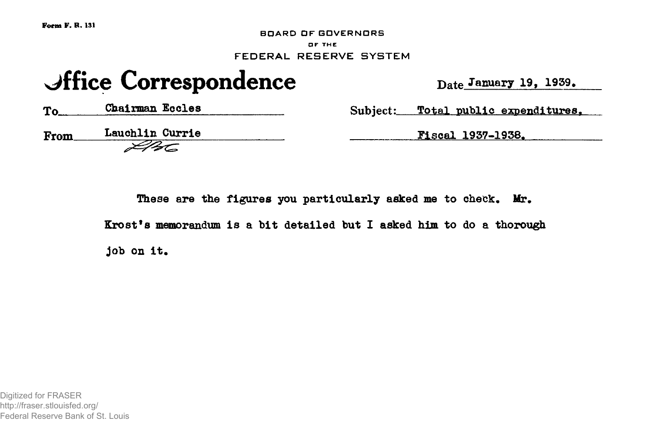**Form F. R. 131**

**BOARD OF GOVERNORS OF THE** FEDERAL RESERVE SYSTEM

## **office Correspondence** Date January 19, 1939.

To Chairman Eccles Subject: Total public expenditures, From Lauchlin Currie Fiscal 1937-1938.

These are the figures you particularly asked me to check. Mr.

**Krost<sup>f</sup>s memorandum is a bit detailed but I asked him to do a thorough**

**job on it.**

Digitized for FRASER http://fraser.stlouisfed.org/ Federal Reserve Bank of St. Louis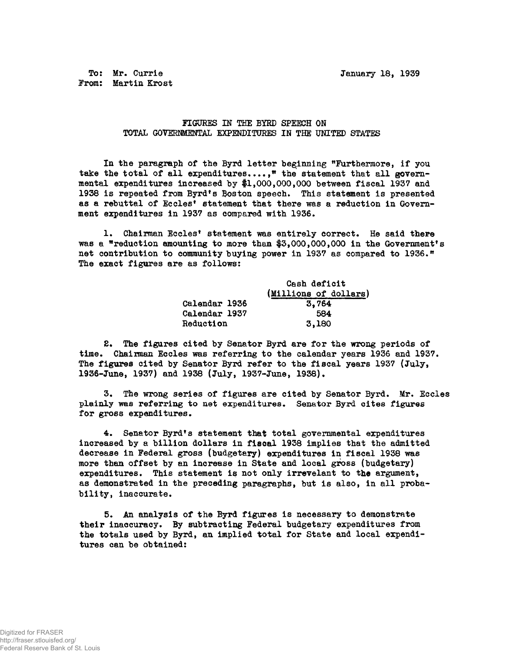**To: Mr. Currie January 18, 1939 From: Martin Krost**

## **FIGURES IN THE BYRD SPEECH ON** TOTAL GOVERNMENTAL EXPENDITURES IN THE UNITED STATES

**In the paragraph of the Byrd letter beginning "Furthermore, if you take the total of all expenditures....," the statement that all governmental expenditures increased by #1,000,000,000 between fiscal 1937 and 1938 is repeated from Byrd<sup>f</sup>s Boston speech. This statement is presented** as a rebuttal of Eccles' statement that there was a reduction in Govern**ment expenditures in 1937 as compared with 1936.**

**1. Chairman Eccles<sup>1</sup> statement was entirely correct. He said there was a "reduction amounting to more than \$3,000,000,000 in the Government<sup>1</sup>s net contribution to community buying power in 1937 as compared to 1936." The exact figures are as follows:**

|                      | Cash deficit          |  |
|----------------------|-----------------------|--|
|                      | (Millions of dollars) |  |
| <b>Calendar 1936</b> | 3,764                 |  |
| <b>Calendar 1937</b> | 584                   |  |
| <b>Reduction</b>     | 3,180                 |  |

**2\* The figures cited by Senator Byrd are for the wrong periods of time. Chairman Eccles was referring to the calendar years 1936 and 1937. The figures cited by Senator Byrd refer to the fiscal years 1937 (July, 1936-June, 1937) and 1938 (July, 1937-June, 1938).**

**3. The wrong series of figures are cited by Senator Byrd. Mr. Eccles plainly was referring to net expenditures. Senator Byrd cites figures for gross expenditures.**

**4. Senator Byrd<sup>f</sup>s statement that total governmental expenditures increased by a billion dollars in fiscal 1938 implies that the admitted decrease in Federal gross (budgetary) expenditures in fiscal 1938 was more than offset by an increase in State and local gross (budgetary) expenditures. This statement is not only irrevelant to the argument, as demonstrated in the preceding paragraphs, but is also, in all probability, inaccurate.**

**5. An analysis of the Byrd figures is necessary to demonstrate their inaccuracy. By subtracting Federal budgetary expenditures from the totals used by Byrd, an implied total for State and local expenditures can be obtained:**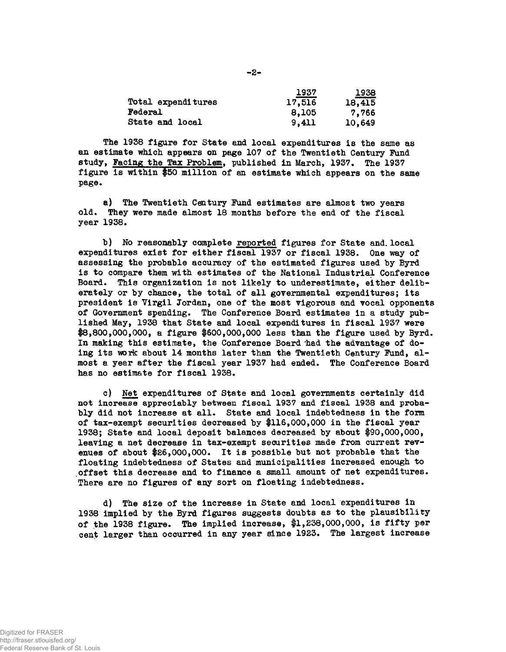|                    | 1937   | 1938   |
|--------------------|--------|--------|
| Total expenditures | 17,516 | 18,415 |
| Federal            | 8,105  | 7,766  |
| State and local    | 9.411  | 10,649 |

**The 1938 figure for State and local expenditures is the same as an estimate which appears on page 107 of the Twentieth Century Fund study, Facing the Tax Problem, published in March, 1937. The 1937 figure is within \$50 million of an estimate which appears on the same** page.

**a) The Twentieth Century Fund estimates are almost two years old. They were made almost 18 months before the end of the fiscal year 1938•**

**b) No reasonably complete reported figures for State and. local expenditures exist for either fiscal 1937 or fiscal 1938. One way of assessing the probable accuracy of the estimated figures used by Byrd is to compare them with estimates of the National Industrial Conference Board. This organization is not likely to underestimate, either deliberately or by chance, the total of all governmental expenditures; its president is Virgil Jordan, one of the most vigorous and vocal opponents of Government spending. The Conference Board estimates in a study published May, 1938 that State and local expenditures in fiscal 1937 were \$8,800,000,000, a figure \$600,000,000 less than the figure used by Byrd.** In making this estimate, the Conference Board had the advantage of do**ing its work about 14 months later than the Twentieth Century Fund, almost a year after the fiscal year 1937 had ended. The Conference Board has no estimate for fiscal 1938.**

**c) Net expenditures of State and local governments certainly did not increase appreciably between fiscal 1937 and fiscal 1938 and probably did not increase at all. State and local indebtedness in the form of tax-exempt securities decreased by \$116,000,000 in the fiscal year 1938; State and local deposit balances decreased by about \$90,000,000, leaving a net decrease in tax-exempt securities made from current revenues of about \$26,000,000. It is possible but not probable that the floating indebtedness of States and municipalities increased enough to .offset this decrease and to finance a small amount of net expenditures. There are no figures of any sort on floating indebtedness.**

**d) The size of the increase in State and local expenditures in 1938 implied by the Byrd figures suggests doubts as to the plausibility of the 1938 figure. The implied increase, \$1,238,000,000, is fifty per cent larger than occurred in any year since 1923. The largest increase**